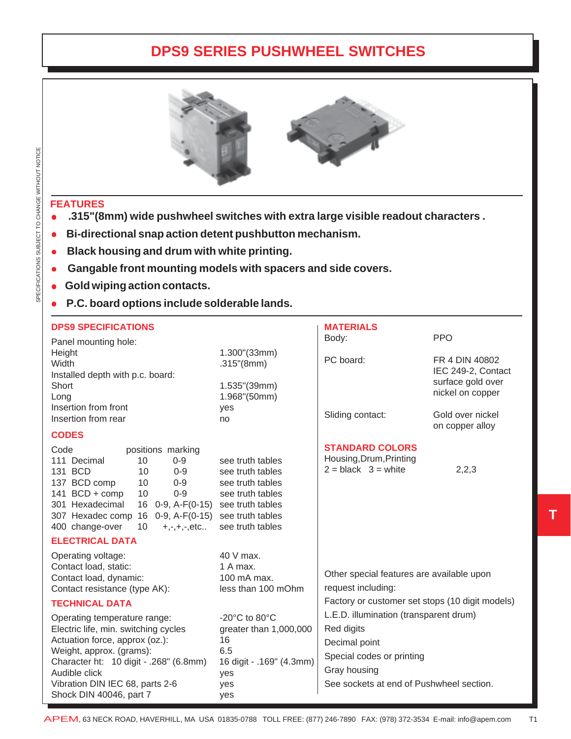## **DPS9 SERIES PUSHWHEEL SWITCHES**



## **FEATURES**

- z**.315"(8mm) wide pushwheel switches with extra large visible readout characters .**
- **Bi-directional snap action detent pushbutton mechanism.**
- **Black housing and drum with white printing.**
- Gangable front mounting models with spacers and side covers.
- **Gold wiping action contacts.**
- <sup>z</sup> **P.C. board options include solderable lands.**

| <b>DPS9 SPECIFICATIONS</b>                                                                                                                                                                                                                                                                                                                           |                                                                                                                             | <b>MATERIALS</b>                                                                                                                                               |                                       |
|------------------------------------------------------------------------------------------------------------------------------------------------------------------------------------------------------------------------------------------------------------------------------------------------------------------------------------------------------|-----------------------------------------------------------------------------------------------------------------------------|----------------------------------------------------------------------------------------------------------------------------------------------------------------|---------------------------------------|
| Panel mounting hole:                                                                                                                                                                                                                                                                                                                                 |                                                                                                                             | Body:                                                                                                                                                          | <b>PPO</b>                            |
| Height<br>Width                                                                                                                                                                                                                                                                                                                                      | 1.300"(33mm)<br>.315''(8mm)                                                                                                 | PC board:                                                                                                                                                      | FR 4 DIN 40802<br>IEC 249-2, Contact  |
| Installed depth with p.c. board:<br>Short<br>Long                                                                                                                                                                                                                                                                                                    | 1.535"(39mm)<br>1.968"(50mm)                                                                                                |                                                                                                                                                                | surface gold over<br>nickel on copper |
| Insertion from front<br>Insertion from rear                                                                                                                                                                                                                                                                                                          | yes<br>no                                                                                                                   | Sliding contact:                                                                                                                                               | Gold over nickel<br>on copper alloy   |
| <b>CODES</b>                                                                                                                                                                                                                                                                                                                                         |                                                                                                                             |                                                                                                                                                                |                                       |
| Code<br>positions marking<br>111 Decimal<br>10<br>$0 - 9$<br>131 BCD<br>10<br>$0 - 9$<br>137 BCD comp<br>$0 - 9$<br>10<br>141 BCD + comp<br>$0 - 9$<br>10<br>301 Hexadecimal<br>16 0-9, A-F(0-15) see truth tables<br>16 0-9, A-F(0-15) see truth tables<br>307 Hexadec comp<br>400 change-over<br>10<br>$+, -, +, -, etc$<br><b>ELECTRICAL DATA</b> | see truth tables<br>see truth tables<br>see truth tables<br>see truth tables<br>see truth tables                            | <b>STANDARD COLORS</b><br>Housing, Drum, Printing<br>$2 = black$ 3 = white                                                                                     | 2,2,3                                 |
|                                                                                                                                                                                                                                                                                                                                                      |                                                                                                                             |                                                                                                                                                                |                                       |
| Operating voltage:<br>Contact load, static:<br>Contact load, dynamic:<br>Contact resistance (type AK):                                                                                                                                                                                                                                               | 40 V max.<br>1 A max.<br>100 mA max.<br>less than 100 mOhm                                                                  | Other special features are available upon<br>request including:                                                                                                |                                       |
| <b>TECHNICAL DATA</b>                                                                                                                                                                                                                                                                                                                                |                                                                                                                             | Factory or customer set stops (10 digit models)                                                                                                                |                                       |
| Operating temperature range:<br>Electric life, min. switching cycles<br>Actuation force, approx (oz.):<br>Weight, approx. (grams):<br>Character ht: 10 digit - .268" (6.8mm)<br>Audible click<br>Vibration DIN IEC 68, parts 2-6<br>Shock DIN 40046, part 7                                                                                          | -20 $^{\circ}$ C to 80 $^{\circ}$ C<br>greater than 1,000,000<br>16<br>6.5<br>16 digit - .169" (4.3mm)<br>yes<br>yes<br>yes | L.E.D. illumination (transparent drum)<br>Red digits<br>Decimal point<br>Special codes or printing<br>Gray housing<br>See sockets at end of Pushwheel section. |                                       |

**T**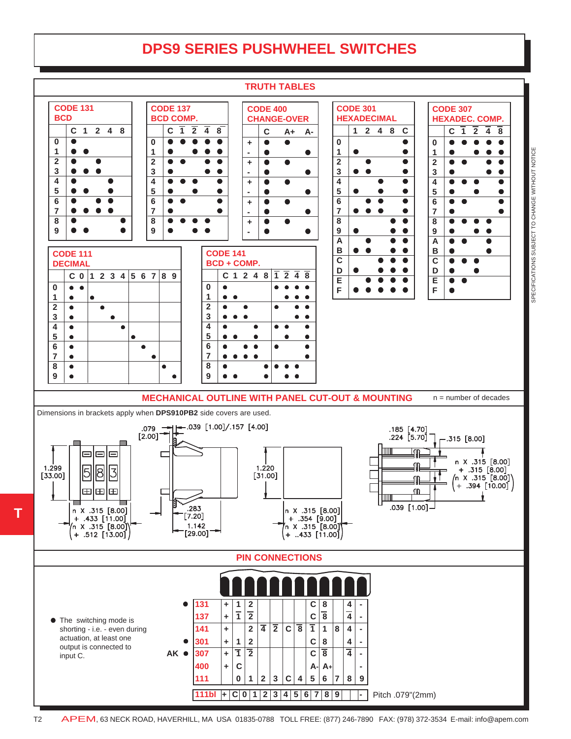## **DPS9 SERIES PUSHWHEEL SWITCHES**



SPECIFICATIONS SUBJECT TO CHANGE WITHOUT NOTICE SPECIFICATIONS SUBJECT TO CHANGE WITHOUT NOTICE

**T**